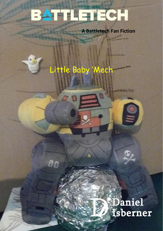## BATTLETECH

**A Battletech Fan Fiction**

## Little Baby 'Mech

00

## *Daniel*<br>Isberner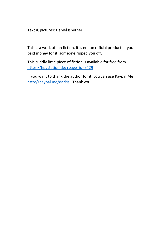Text & pictures: Daniel Isberner

This is a work of fan fiction. It is not an official product. If you paid money for it, someone ripped you off.

This cuddly little piece of fiction is available for free from [https://hpgstation.de/?page\\_id=9429](https://hpgstation.de/?page_id=9429)

If you want to thank the author for it, you can use Paypal.Me [http://paypal.me/darkisi.](http://paypal.me/darkisi) Thank you.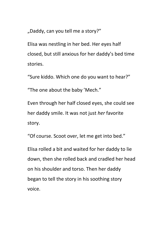"Daddy, can you tell me a story?"

Elisa was nestling in her bed. Her eyes half closed, but still anxious for her daddy's bed time stories.

"Sure kiddo. Which one do you want to hear?"

"The one about the baby 'Mech."

Even through her half closed eyes, she could see her daddy smile. It was not just *her* favorite story.

"Of course. Scoot over, let me get into bed."

Elisa rolled a bit and waited for her daddy to lie down, then she rolled back and cradled her head on his shoulder and torso. Then her daddy began to tell the story in his soothing story voice.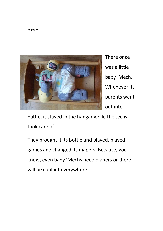

There once was a little baby 'Mech. Whenever its parents went out into

battle, it stayed in the hangar while the techs took care of it.

They brought it its bottle and played, played games and changed its diapers. Because, you know, even baby 'Mechs need diapers or there will be coolant everywhere.

\*\*\*\*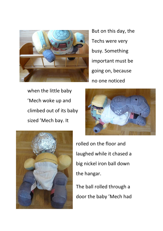

But on this day, the Techs were very busy. Something important must be going on, because no one noticed

when the little baby 'Mech woke up and climbed out of its baby sized 'Mech bay. It





rolled on the floor and laughed while it chased a big nickel iron ball down the hangar.

The ball rolled through a door the baby 'Mech had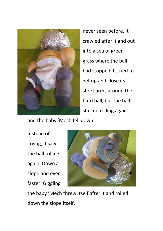

never seen before. It crawled after it and out into a sea of green grass where the ball had stopped. It tried to get up and close its short arms around the hard ball, but the ball started rolling again

and the baby 'Mech fell down.

Instead of crying, it saw the ball rolling again. Down a slope and ever faster. Giggling



the baby 'Mech threw itself after it and rolled down the slope itself.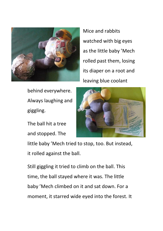

Mice and rabbits watched with big eyes as the little baby 'Mech rolled past them, losing its diaper on a root and leaving blue coolant

behind everywhere. Always laughing and giggling.

The ball hit a tree and stopped. The



little baby 'Mech tried to stop, too. But instead, it rolled against the ball.

Still giggling it tried to climb on the ball. This time, the ball stayed where it was. The little baby 'Mech climbed on it and sat down. For a moment, it starred wide eyed into the forest. It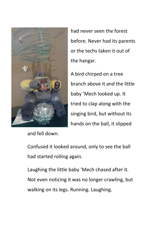

and fell down.

had never seen the forest before. Never had its parents or the techs taken it out of the hangar.

A bird chirped on a tree branch above it and the little baby 'Mech looked up. It tried to clap along with the singing bird, but without its hands on the ball, it slipped

Confused it looked around, only to see the ball had started rolling again.

Laughing the little baby 'Mech chased after it. Not even noticing it was no longer crawling, but walking on its legs. Running. Laughing.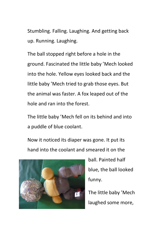Stumbling. Falling. Laughing. And getting back up. Running. Laughing.

The ball stopped right before a hole in the ground. Fascinated the little baby 'Mech looked into the hole. Yellow eyes looked back and the little baby 'Mech tried to grab those eyes. But the animal was faster. A fox leaped out of the hole and ran into the forest.

The little baby 'Mech fell on its behind and into a puddle of blue coolant.

Now it noticed its diaper was gone. It put its hand into the coolant and smeared it on the



ball. Painted half blue, the ball looked funny.

The little baby 'Mech laughed some more,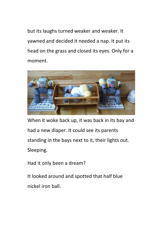but its laughs turned weaker and weaker. It yawned and decided it needed a nap. It put its head on the grass and closed its eyes. Only for a moment.



When it woke back up, it was back in its bay and had a new diaper. It could see its parents standing in the bays next to it, their lights out. Sleeping.

Had it only been a dream?

It looked around and spotted that half blue nickel iron ball.